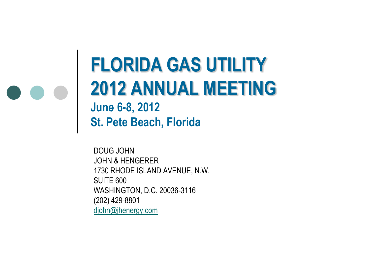### **FLORIDA GAS UTILITY 2012 ANNUAL MEETING June 6-8, 2012**

**St. Pete Beach, Florida**

DOUG JOHN JOHN & HENGERER 1730 RHODE ISLAND AVENUE, N.W. SUITE 600 WASHINGTON, D.C. 20036-3116 (202) 429-8801 [djohn@jhenergy.com](mailto:mrick@jhenergy.com)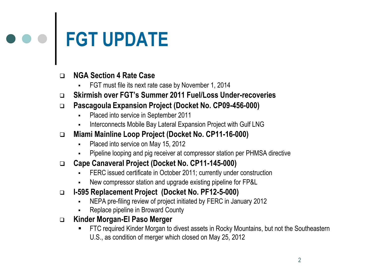# **FGT UPDATE**

#### **NGA Section 4 Rate Case**

- FGT must file its next rate case by November 1, 2014
- **Skirmish over FGT's Summer 2011 Fuel/Loss Under-recoveries**
- **Pascagoula Expansion Project (Docket No. CP09-456-000)**
	- Placed into service in September 2011
	- Interconnects Mobile Bay Lateral Expansion Project with Gulf LNG
- **Miami Mainline Loop Project (Docket No. CP11-16-000)**
	- Placed into service on May 15, 2012
	- Pipeline looping and pig receiver at compressor station per PHMSA directive
- **Cape Canaveral Project (Docket No. CP11-145-000)**
	- FERC issued certificate in October 2011; currently under construction
	- New compressor station and upgrade existing pipeline for FP&L
- **I-595 Replacement Project (Docket No. PF12-5-000)**
	- NEPA pre-filing review of project initiated by FERC in January 2012
	- Replace pipeline in Broward County
- **Kinder Morgan-El Paso Merger**
	- FTC required Kinder Morgan to divest assets in Rocky Mountains, but not the Southeastern U.S., as condition of merger which closed on May 25, 2012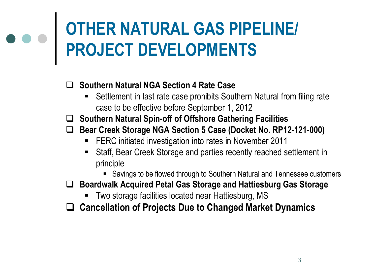### **OTHER NATURAL GAS PIPELINE/ PROJECT DEVELOPMENTS**

#### **Southern Natural NGA Section 4 Rate Case**

- Settlement in last rate case prohibits Southern Natural from filing rate case to be effective before September 1, 2012
- **Southern Natural Spin-off of Offshore Gathering Facilities**
- **Bear Creek Storage NGA Section 5 Case (Docket No. RP12-121-000)**
	- **FERC** initiated investigation into rates in November 2011
	- Staff, Bear Creek Storage and parties recently reached settlement in principle
		- Savings to be flowed through to Southern Natural and Tennessee customers
- **Boardwalk Acquired Petal Gas Storage and Hattiesburg Gas Storage** 
	- **Two storage facilities located near Hattiesburg, MS**
- **Cancellation of Projects Due to Changed Market Dynamics**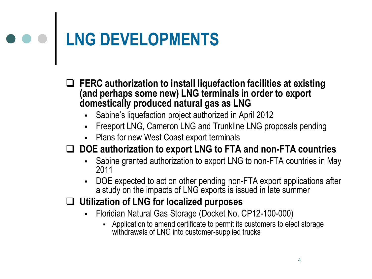## **LNG DEVELOPMENTS**

- **FERC authorization to install liquefaction facilities at existing (and perhaps some new) LNG terminals in order to export domestically produced natural gas as LNG** 
	- Sabine's liquefaction project authorized in April 2012
	- **FIGER 15 FREEPORT LNG AND FIGER 15 FREEPORT FIGER FIGER** PERCIPT FIGER PENDING FIGER
	- Plans for new West Coast export terminals

#### **DOE authorization to export LNG to FTA and non-FTA countries**

- Sabine granted authorization to export LNG to non-FTA countries in May 2011
- DOE expected to act on other pending non-FTA export applications after a study on the impacts of LNG exports is issued in late summer

#### **Utilization of LNG for localized purposes**

- Floridian Natural Gas Storage (Docket No. CP12-100-000)
	- Application to amend certificate to permit its customers to elect storage withdrawals of LNG into customer-supplied trucks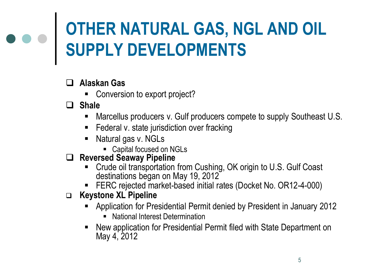## **OTHER NATURAL GAS, NGL AND OIL SUPPLY DEVELOPMENTS**

#### **Alaskan Gas**

■ Conversion to export project?

**Shale**

- Marcellus producers v. Gulf producers compete to supply Southeast U.S.
- **Federal v. state jurisdiction over fracking**
- Natural gas v. NGLs
	- Capital focused on NGLs

#### **Reversed Seaway Pipeline**

- Crude oil transportation from Cushing, OK origin to U.S. Gulf Coast destinations began on May 19, 2012
- **FERC rejected market-based initial rates (Docket No. OR12-4-000)**
- **Keystone XL Pipeline**
	- Application for Presidential Permit denied by President in January 2012
		- **National Interest Determination**
	- New application for Presidential Permit filed with State Department on May 4, 2012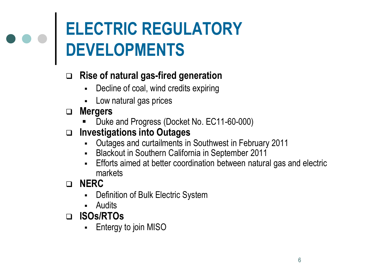## **ELECTRIC REGULATORY DEVELOPMENTS**

#### **Rise of natural gas-fired generation**

- Decline of coal, wind credits expiring
- Low natural gas prices
- **Mergers**
	- Duke and Progress (Docket No. EC11-60-000)
- **Investigations into Outages**
	- Outages and curtailments in Southwest in February 2011
	- **-** Blackout in Southern California in September 2011
	- Efforts aimed at better coordination between natural gas and electric markets

**NERC** 

- Definition of Bulk Electric System
- Audits
- **ISOs/RTOs**
	- Entergy to join MISO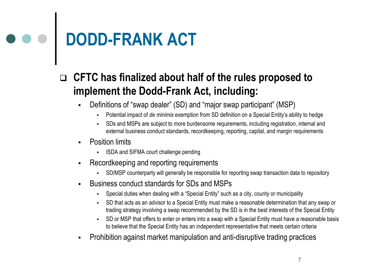## **DODD-FRANK ACT**

#### **CFTC has finalized about half of the rules proposed to implement the Dodd-Frank Act, including:**

- Definitions of "swap dealer" (SD) and "major swap participant" (MSP)
	- Potential impact of *de minimis* exemption from SD definition on a Special Entity's ability to hedge
	- SDs and MSPs are subject to more burdensome requirements, including registration, internal and external business conduct standards, recordkeeping, reporting, capital, and margin requirements
- Position limits
	- **ISDA and SIFMA court challenge pending**
- **Recordkeeping and reporting requirements** 
	- SD/MSP counterparty will generally be responsible for reporting swap transaction data to repository
- Business conduct standards for SDs and MSPs
	- Special duties when dealing with a "Special Entity" such as a city, county or municipality
	- SD that acts as an advisor to a Special Entity must make a reasonable determination that any swap or trading strategy involving a swap recommended by the SD is in the best interests of the Special Entity
	- SD or MSP that offers to enter or enters into a swap with a Special Entity must have a reasonable basis to believe that the Special Entity has an independent representative that meets certain criteria
- Prohibition against market manipulation and anti-disruptive trading practices